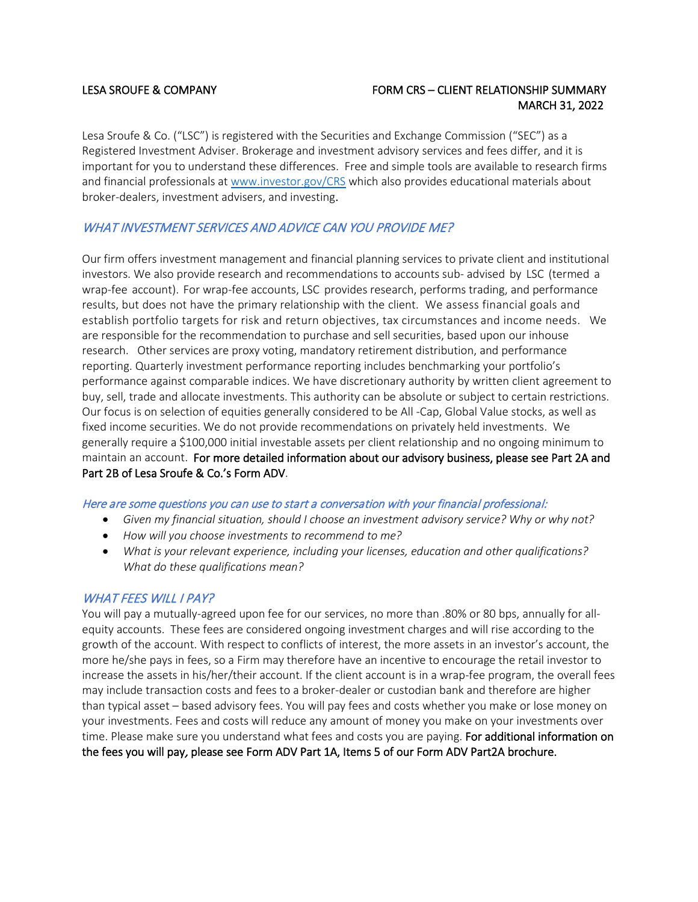# LESA SROUFE & COMPANY FORM CRS – CLIENT RELATIONSHIP SUMMARY MARCH 31, 2022

Lesa Sroufe & Co. ("LSC") is registered with the Securities and Exchange Commission ("SEC") as a Registered Investment Adviser. Brokerage and investment advisory services and fees differ, and it is important for you to understand these differences. Free and simple tools are available to research firms and financial professionals a[t www.investor.gov/CRS](http://www.investor.gov/CRS) which also provides educational materials about broker-dealers, investment advisers, and investing.

# WHAT INVESTMENT SERVICES AND ADVICE CAN YOU PROVIDE ME?

Our firm offers investment management and financial planning services to private client and institutional investors. We also provide research and recommendations to accounts sub- advised by LSC (termed a wrap-fee account). For wrap-fee accounts, LSC provides research, performs trading, and performance results, but does not have the primary relationship with the client. We assess financial goals and establish portfolio targets for risk and return objectives, tax circumstances and income needs. We are responsible for the recommendation to purchase and sell securities, based upon our inhouse research. Other services are proxy voting, mandatory retirement distribution, and performance reporting. Quarterly investment performance reporting includes benchmarking your portfolio's performance against comparable indices. We have discretionary authority by written client agreement to buy, sell, trade and allocate investments. This authority can be absolute or subject to certain restrictions. Our focus is on selection of equities generally considered to be All -Cap, Global Value stocks, as well as fixed income securities. We do not provide recommendations on privately held investments. We generally require a \$100,000 initial investable assets per client relationship and no ongoing minimum to maintain an account. For more detailed information about our advisory business, please see Part 2A and Part 2B of Lesa Sroufe & Co.'s Form ADV.

## Here are some questions you can use to start a conversation with your financial professional:

- *Given my financial situation, should I choose an investment advisory service? Why or why not?*
- *How will you choose investments to recommend to me?*
- *What is your relevant experience, including your licenses, education and other qualifications? What do these qualifications mean?*

# WHAT FEES WILL I PAY?

You will pay a mutually-agreed upon fee for our services, no more than .80% or 80 bps, annually for allequity accounts. These fees are considered ongoing investment charges and will rise according to the growth of the account. With respect to conflicts of interest, the more assets in an investor's account, the more he/she pays in fees, so a Firm may therefore have an incentive to encourage the retail investor to increase the assets in his/her/their account. If the client account is in a wrap-fee program, the overall fees may include transaction costs and fees to a broker-dealer or custodian bank and therefore are higher than typical asset – based advisory fees. You will pay fees and costs whether you make or lose money on your investments. Fees and costs will reduce any amount of money you make on your investments over time. Please make sure you understand what fees and costs you are paying. For additional information on the fees you will pay, please see Form ADV Part 1A, Items 5 of our Form ADV Part2A brochure.